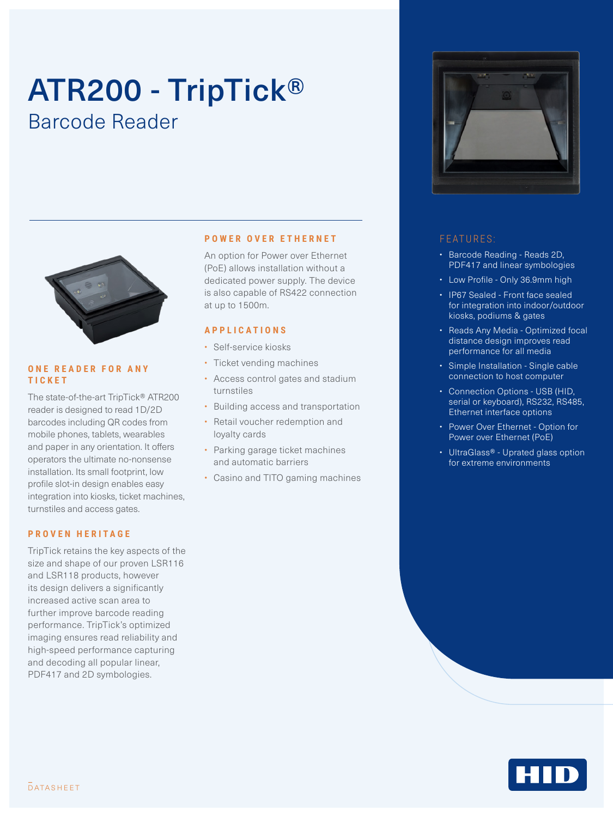# ATR200 - TripTick® Barcode Reader



#### **ONE READER FOR ANY TICKET**

The state-of-the-art TripTick® ATR200 reader is designed to read 1D/2D barcodes including QR codes from mobile phones, tablets, wearables and paper in any orientation. It offers operators the ultimate no-nonsense installation. Its small footprint, low profile slot-in design enables easy integration into kiosks, ticket machines, turnstiles and access gates.

#### **PROVEN HERITAGE**

TripTick retains the key aspects of the size and shape of our proven LSR116 and LSR118 products, however its design delivers a significantly increased active scan area to further improve barcode reading performance. TripTick's optimized imaging ensures read reliability and high-speed performance capturing and decoding all popular linear, PDF417 and 2D symbologies.

#### **POWER OVER ETHERNET**

An option for Power over Ethernet (PoE) allows installation without a dedicated power supply. The device is also capable of RS422 connection at up to 1500m.

### **APPLICATIONS**

- Self-service kiosks
- Ticket vending machines
- Access control gates and stadium turnstiles
- Building access and transportation
- Retail voucher redemption and
- loyalty cards • Parking garage ticket machines
- and automatic barriers
- Casino and TITO gaming machines



#### FEATURES:

- Barcode Reading Reads 2D, PDF417 and linear symbologies
- Low Profile Only 36.9mm high
- IP67 Sealed Front face sealed for integration into indoor/outdoor kiosks, podiums & gates
- Reads Any Media Optimized focal distance design improves read performance for all media
- Simple Installation Single cable connection to host computer
- Connection Options USB (HID, serial or keyboard), RS232, RS485, Ethernet interface options
- Power Over Ethernet Option for Power over Ethernet (PoE)
- UltraGlass® Uprated glass option for extreme environments